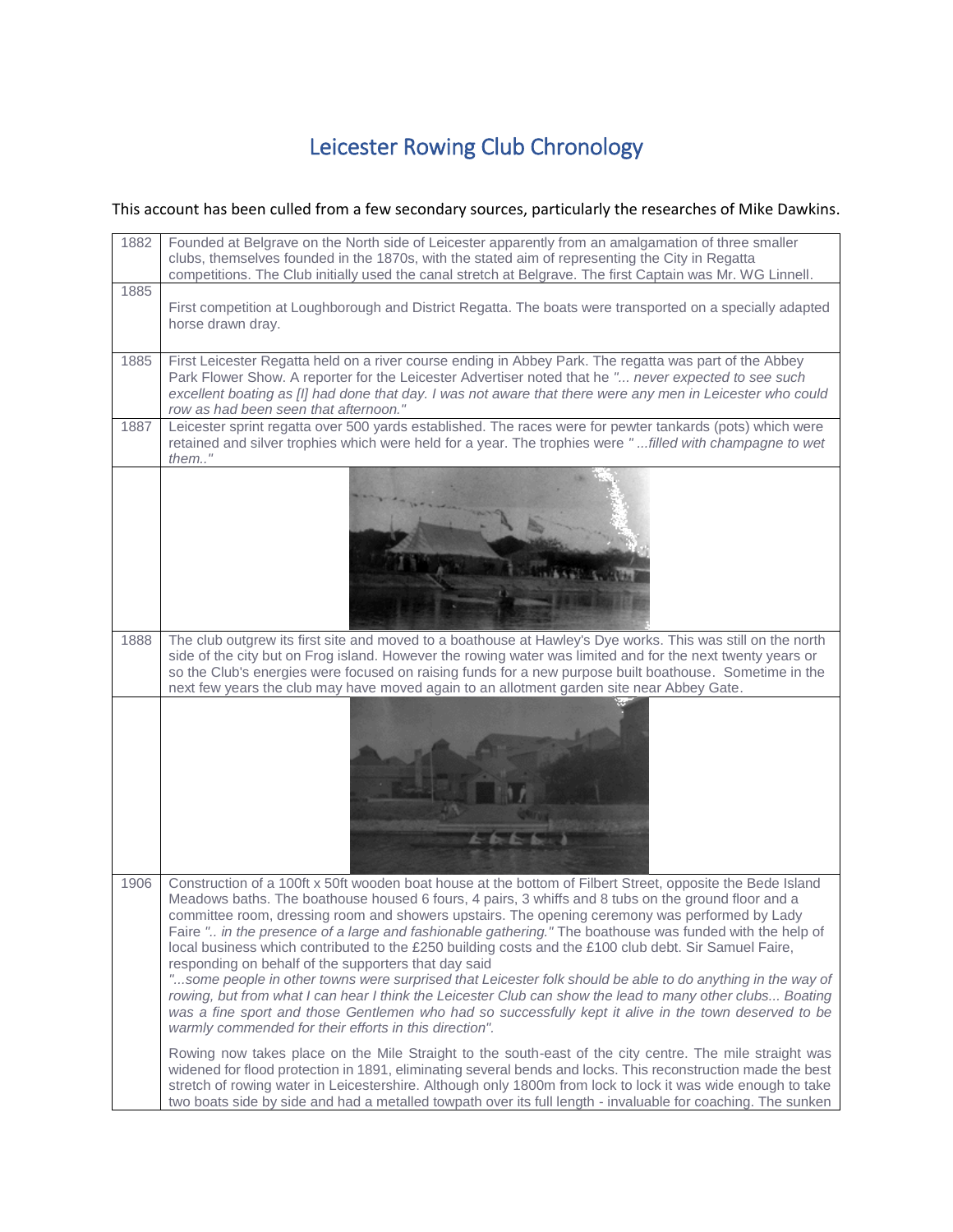## Leicester Rowing Club Chronology

## This account has been culled from a few secondary sources, particularly the researches of Mike Dawkins.

| 1882 | Founded at Belgrave on the North side of Leicester apparently from an amalgamation of three smaller<br>clubs, themselves founded in the 1870s, with the stated aim of representing the City in Regatta<br>competitions. The Club initially used the canal stretch at Belgrave. The first Captain was Mr. WG Linnell.                                                                                                                                                                                                                                                                                                                                                                                                                                                                                                                                                                                                                                                                           |
|------|------------------------------------------------------------------------------------------------------------------------------------------------------------------------------------------------------------------------------------------------------------------------------------------------------------------------------------------------------------------------------------------------------------------------------------------------------------------------------------------------------------------------------------------------------------------------------------------------------------------------------------------------------------------------------------------------------------------------------------------------------------------------------------------------------------------------------------------------------------------------------------------------------------------------------------------------------------------------------------------------|
| 1885 | First competition at Loughborough and District Regatta. The boats were transported on a specially adapted<br>horse drawn dray.                                                                                                                                                                                                                                                                                                                                                                                                                                                                                                                                                                                                                                                                                                                                                                                                                                                                 |
| 1885 | First Leicester Regatta held on a river course ending in Abbey Park. The regatta was part of the Abbey<br>Park Flower Show. A reporter for the Leicester Advertiser noted that he " never expected to see such<br>excellent boating as [I] had done that day. I was not aware that there were any men in Leicester who could<br>row as had been seen that afternoon."                                                                                                                                                                                                                                                                                                                                                                                                                                                                                                                                                                                                                          |
| 1887 | Leicester sprint regatta over 500 yards established. The races were for pewter tankards (pots) which were<br>retained and silver trophies which were held for a year. The trophies were "filled with champagne to wet<br>them"                                                                                                                                                                                                                                                                                                                                                                                                                                                                                                                                                                                                                                                                                                                                                                 |
|      |                                                                                                                                                                                                                                                                                                                                                                                                                                                                                                                                                                                                                                                                                                                                                                                                                                                                                                                                                                                                |
| 1888 | The club outgrew its first site and moved to a boathouse at Hawley's Dye works. This was still on the north<br>side of the city but on Frog island. However the rowing water was limited and for the next twenty years or<br>so the Club's energies were focused on raising funds for a new purpose built boathouse. Sometime in the<br>next few years the club may have moved again to an allotment garden site near Abbey Gate.                                                                                                                                                                                                                                                                                                                                                                                                                                                                                                                                                              |
|      |                                                                                                                                                                                                                                                                                                                                                                                                                                                                                                                                                                                                                                                                                                                                                                                                                                                                                                                                                                                                |
| 1906 | Construction of a 100ft x 50ft wooden boat house at the bottom of Filbert Street, opposite the Bede Island<br>Meadows baths. The boathouse housed 6 fours, 4 pairs, 3 whiffs and 8 tubs on the ground floor and a<br>committee room, dressing room and showers upstairs. The opening ceremony was performed by Lady<br>Faire " in the presence of a large and fashionable gathering." The boathouse was funded with the help of<br>local business which contributed to the £250 building costs and the £100 club debt. Sir Samuel Faire,<br>responding on behalf of the supporters that day said<br>"some people in other towns were surprised that Leicester folk should be able to do anything in the way of<br>rowing, but from what I can hear I think the Leicester Club can show the lead to many other clubs Boating<br>was a fine sport and those Gentlemen who had so successfully kept it alive in the town deserved to be<br>warmly commended for their efforts in this direction". |
|      | Rowing now takes place on the Mile Straight to the south-east of the city centre. The mile straight was<br>widened for flood protection in 1891, eliminating several bends and locks. This reconstruction made the best<br>stretch of rowing water in Leicestershire. Although only 1800m from lock to lock it was wide enough to take<br>two boats side by side and had a metalled towpath over its full length - invaluable for coaching. The sunken                                                                                                                                                                                                                                                                                                                                                                                                                                                                                                                                         |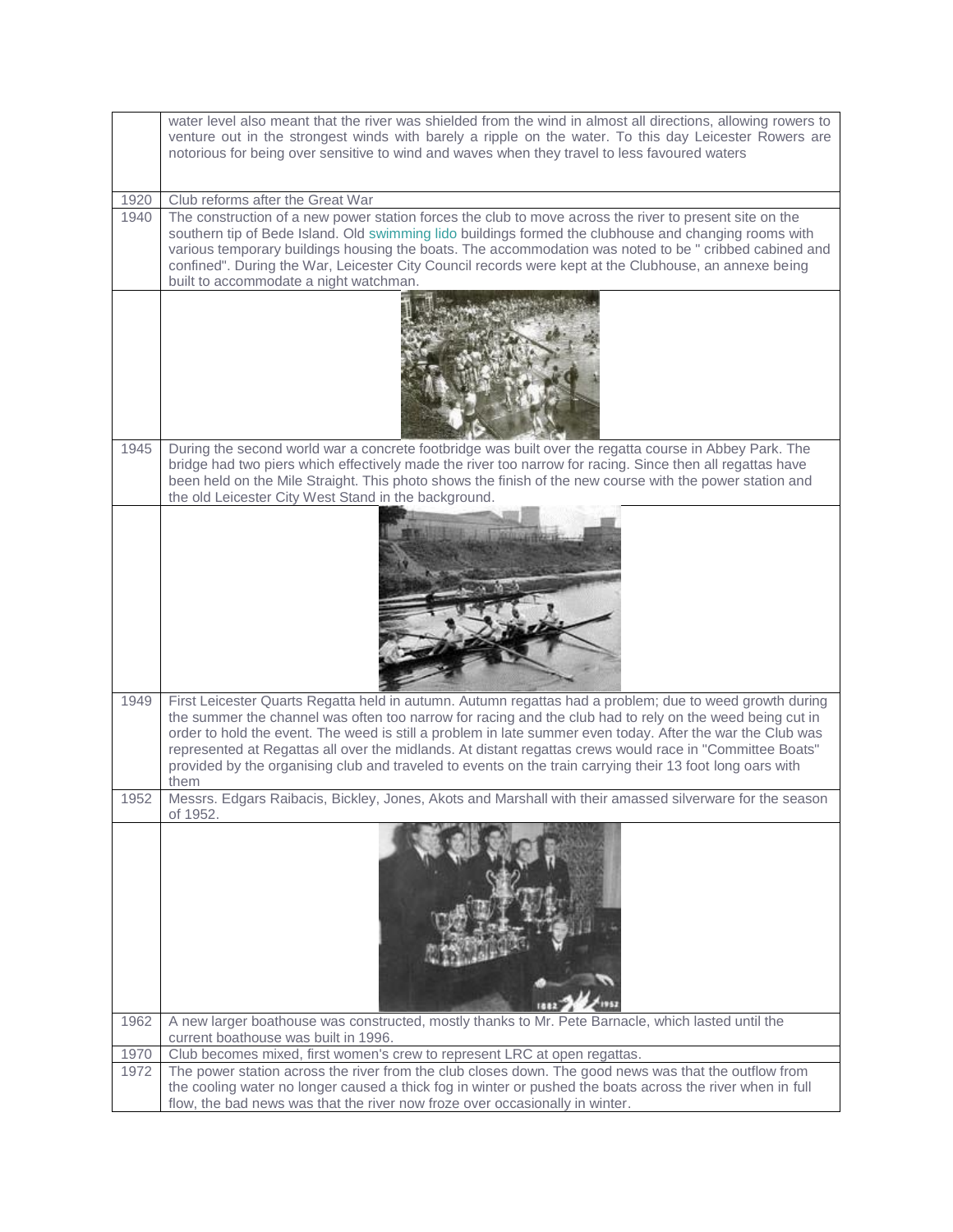|              | water level also meant that the river was shielded from the wind in almost all directions, allowing rowers to<br>venture out in the strongest winds with barely a ripple on the water. To this day Leicester Rowers are<br>notorious for being over sensitive to wind and waves when they travel to less favoured waters                                                                                                                                                                                                                                           |
|--------------|--------------------------------------------------------------------------------------------------------------------------------------------------------------------------------------------------------------------------------------------------------------------------------------------------------------------------------------------------------------------------------------------------------------------------------------------------------------------------------------------------------------------------------------------------------------------|
|              | Club reforms after the Great War                                                                                                                                                                                                                                                                                                                                                                                                                                                                                                                                   |
| 1920<br>1940 | The construction of a new power station forces the club to move across the river to present site on the<br>southern tip of Bede Island. Old swimming lido buildings formed the clubhouse and changing rooms with<br>various temporary buildings housing the boats. The accommodation was noted to be " cribbed cabined and<br>confined". During the War, Leicester City Council records were kept at the Clubhouse, an annexe being<br>built to accommodate a night watchman.                                                                                      |
|              |                                                                                                                                                                                                                                                                                                                                                                                                                                                                                                                                                                    |
| 1945         | During the second world war a concrete footbridge was built over the regatta course in Abbey Park. The<br>bridge had two piers which effectively made the river too narrow for racing. Since then all regattas have<br>been held on the Mile Straight. This photo shows the finish of the new course with the power station and<br>the old Leicester City West Stand in the background.                                                                                                                                                                            |
|              | <b>DAMITION</b>                                                                                                                                                                                                                                                                                                                                                                                                                                                                                                                                                    |
| 1949         | First Leicester Quarts Regatta held in autumn. Autumn regattas had a problem; due to weed growth during<br>the summer the channel was often too narrow for racing and the club had to rely on the weed being cut in<br>order to hold the event. The weed is still a problem in late summer even today. After the war the Club was<br>represented at Regattas all over the midlands. At distant regattas crews would race in "Committee Boats"<br>provided by the organising club and traveled to events on the train carrying their 13 foot long oars with<br>them |
| 1952         | Messrs. Edgars Raibacis, Bickley, Jones, Akots and Marshall with their amassed silverware for the season<br>of 1952.                                                                                                                                                                                                                                                                                                                                                                                                                                               |
|              |                                                                                                                                                                                                                                                                                                                                                                                                                                                                                                                                                                    |
| 1962         | A new larger boathouse was constructed, mostly thanks to Mr. Pete Barnacle, which lasted until the                                                                                                                                                                                                                                                                                                                                                                                                                                                                 |
|              | current boathouse was built in 1996.                                                                                                                                                                                                                                                                                                                                                                                                                                                                                                                               |
| 1970<br>1972 | Club becomes mixed, first women's crew to represent LRC at open regattas.<br>The power station across the river from the club closes down. The good news was that the outflow from                                                                                                                                                                                                                                                                                                                                                                                 |
|              | the cooling water no longer caused a thick fog in winter or pushed the boats across the river when in full<br>flow, the bad news was that the river now froze over occasionally in winter.                                                                                                                                                                                                                                                                                                                                                                         |